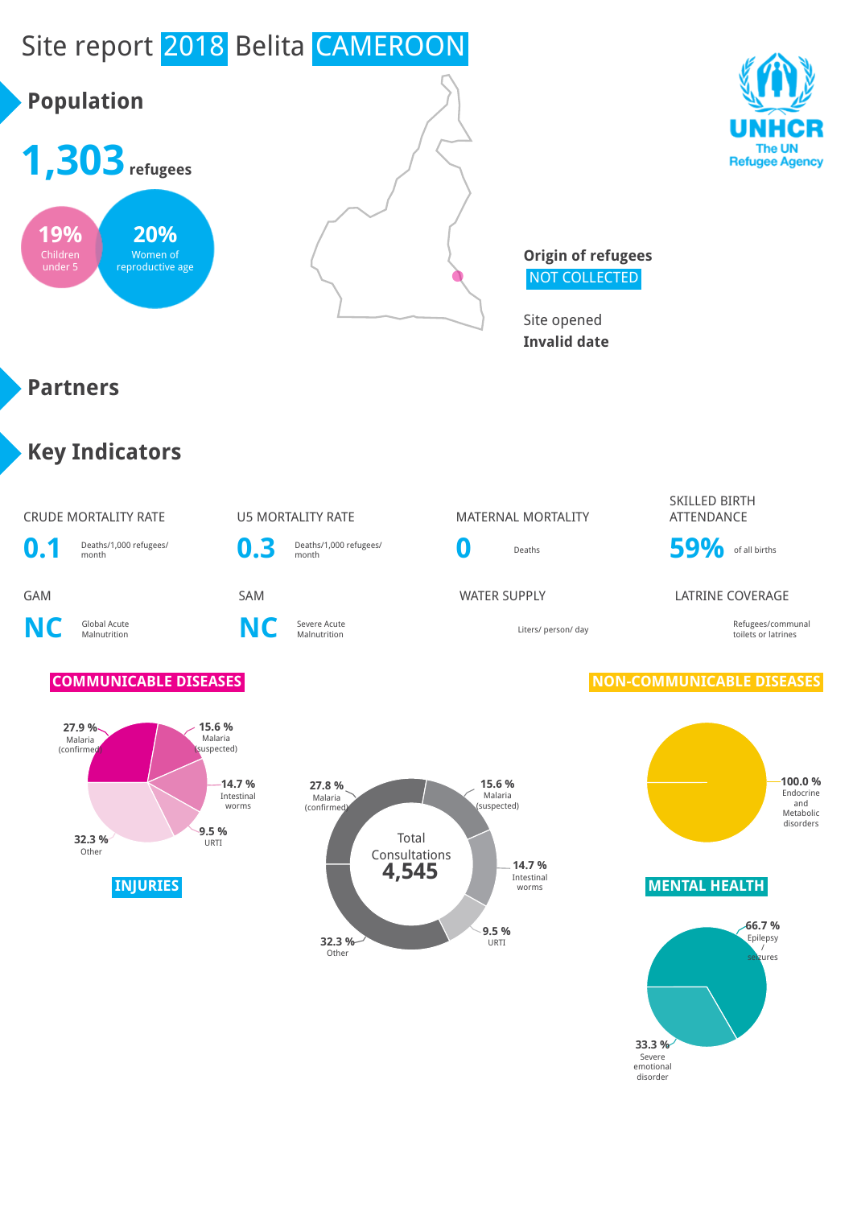

emotional disorder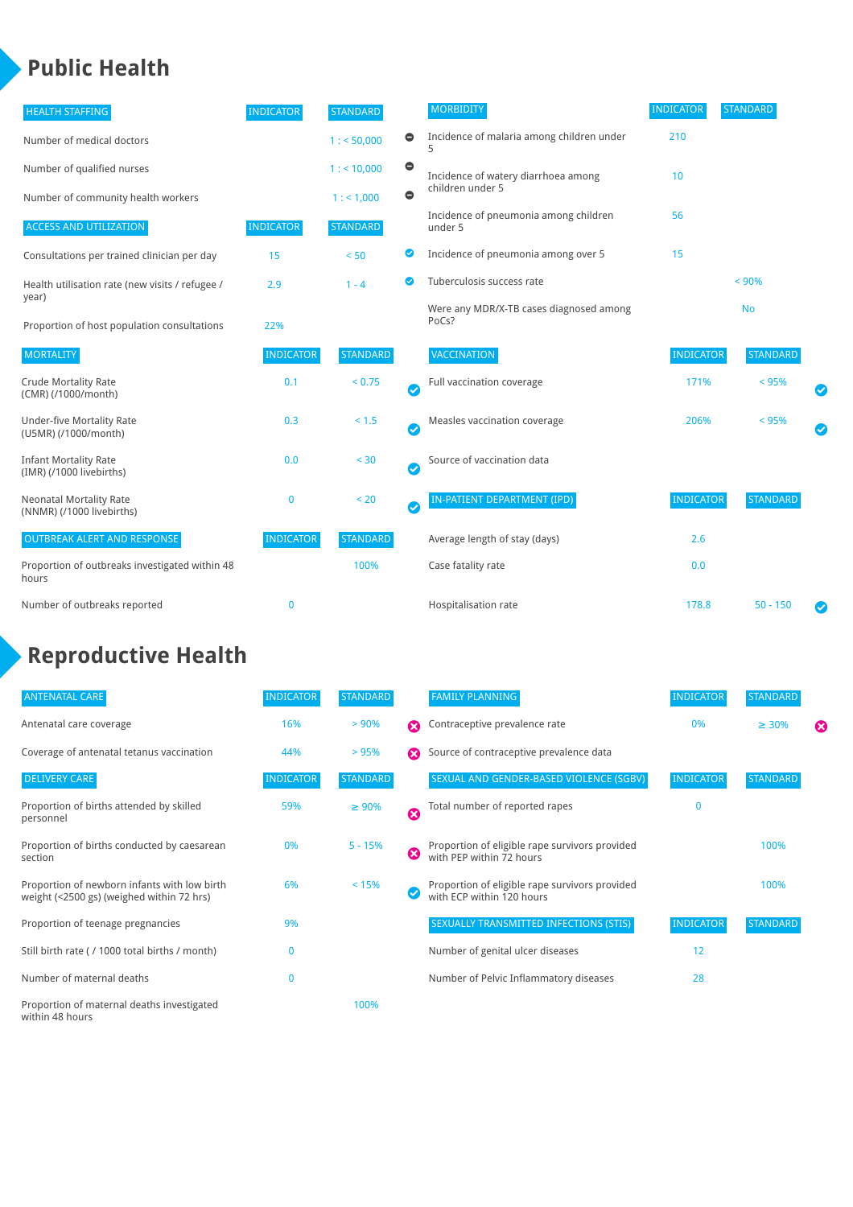## **Public Health**

| <b>HEALTH STAFFING</b>                                      | <b>INDICATOR</b> | <b>STANDARD</b> |           | <b>MORBIDITY</b>                                 | <b>INDICATOR</b> | <b>STANDARD</b> |           |
|-------------------------------------------------------------|------------------|-----------------|-----------|--------------------------------------------------|------------------|-----------------|-----------|
| Number of medical doctors                                   |                  | 1: 50,000       | $\bullet$ | Incidence of malaria among children under        | 210              |                 |           |
| Number of qualified nurses                                  |                  | $1:$ < 10,000   | $\bullet$ | Incidence of watery diarrhoea among              | 10               |                 |           |
| Number of community health workers                          |                  | 1:1,000         | $\bullet$ | children under 5                                 |                  |                 |           |
| <b>ACCESS AND UTILIZATION</b>                               | <b>INDICATOR</b> | <b>STANDARD</b> |           | Incidence of pneumonia among children<br>under 5 | 56               |                 |           |
| Consultations per trained clinician per day                 | 15               | < 50            | Ø         | Incidence of pneumonia among over 5              | 15               |                 |           |
| Health utilisation rate (new visits / refugee /             | 2.9              | $1 - 4$         | ☑         | Tuberculosis success rate                        |                  | < 90%           |           |
| year)<br>Proportion of host population consultations        | 22%              |                 |           | Were any MDR/X-TB cases diagnosed among<br>PoCs? |                  | <b>No</b>       |           |
| <b>MORTALITY</b>                                            | <b>INDICATOR</b> | <b>STANDARD</b> |           | <b>VACCINATION</b>                               | <b>INDICATOR</b> | <b>STANDARD</b> |           |
| <b>Crude Mortality Rate</b><br>(CMR) (/1000/month)          | 0.1              | < 0.75          | Ø         | Full vaccination coverage                        | 171%             | < 95%           |           |
| Under-five Mortality Rate<br>(U5MR) (/1000/month)           | 0.3              | < 1.5           | Ø         | Measles vaccination coverage                     | 206%             | < 95%           | $\bullet$ |
| <b>Infant Mortality Rate</b><br>(IMR) (/1000 livebirths)    | 0.0              | $30$            | Ø         | Source of vaccination data                       |                  |                 |           |
| <b>Neonatal Mortality Rate</b><br>(NNMR) (/1000 livebirths) | $\mathbf 0$      | < 20            | Ø         | IN-PATIENT DEPARTMENT (IPD)                      | <b>INDICATOR</b> | <b>STANDARD</b> |           |
| <b>OUTBREAK ALERT AND RESPONSE</b>                          | <b>INDICATOR</b> | <b>STANDARD</b> |           | Average length of stay (days)                    | 2.6              |                 |           |
| Proportion of outbreaks investigated within 48<br>hours     |                  | 100%            |           | Case fatality rate                               | 0.0              |                 |           |
| Number of outbreaks reported                                | 0                |                 |           | Hospitalisation rate                             | 178.8            | $50 - 150$      |           |

# **Reproductive Health**

| <b>ANTENATAL CARE</b>                                                                     | <b>INDICATOR</b> | <b>STANDARD</b> |                       | <b>FAMILY PLANNING</b>                                                      | <b>INDICATOR</b> | <b>STANDARD</b> |   |
|-------------------------------------------------------------------------------------------|------------------|-----------------|-----------------------|-----------------------------------------------------------------------------|------------------|-----------------|---|
| Antenatal care coverage                                                                   | 16%              | > 90%           | $\boldsymbol{\Omega}$ | Contraceptive prevalence rate                                               | 0%               | $\geq 30\%$     | ⊠ |
| Coverage of antenatal tetanus vaccination                                                 | 44%              | >95%            | $\boldsymbol{\Omega}$ | Source of contraceptive prevalence data                                     |                  |                 |   |
| <b>DELIVERY CARE</b>                                                                      | <b>INDICATOR</b> | <b>STANDARD</b> |                       | SEXUAL AND GENDER-BASED VIOLENCE (SGBV)                                     | <b>INDICATOR</b> | <b>STANDARD</b> |   |
| Proportion of births attended by skilled<br>personnel                                     | 59%              | $\geq 90\%$     | Ø                     | Total number of reported rapes                                              | $\mathbf{0}$     |                 |   |
| Proportion of births conducted by caesarean<br>section                                    | 0%               | $5 - 15%$       | ظ                     | Proportion of eligible rape survivors provided<br>with PEP within 72 hours  |                  | 100%            |   |
| Proportion of newborn infants with low birth<br>weight (<2500 gs) (weighed within 72 hrs) | 6%               | < 15%           |                       | Proportion of eligible rape survivors provided<br>with ECP within 120 hours |                  | 100%            |   |
| Proportion of teenage pregnancies                                                         | 9%               |                 |                       | SEXUALLY TRANSMITTED INFECTIONS (STIS)                                      | <b>INDICATOR</b> | <b>STANDARD</b> |   |
| Still birth rate (/ 1000 total births / month)                                            | 0                |                 |                       | Number of genital ulcer diseases                                            | 12               |                 |   |
| Number of maternal deaths                                                                 | $\mathbf{0}$     |                 |                       | Number of Pelvic Inflammatory diseases                                      | 28               |                 |   |
| Proportion of maternal deaths investigated<br>within 48 hours                             |                  | 100%            |                       |                                                                             |                  |                 |   |